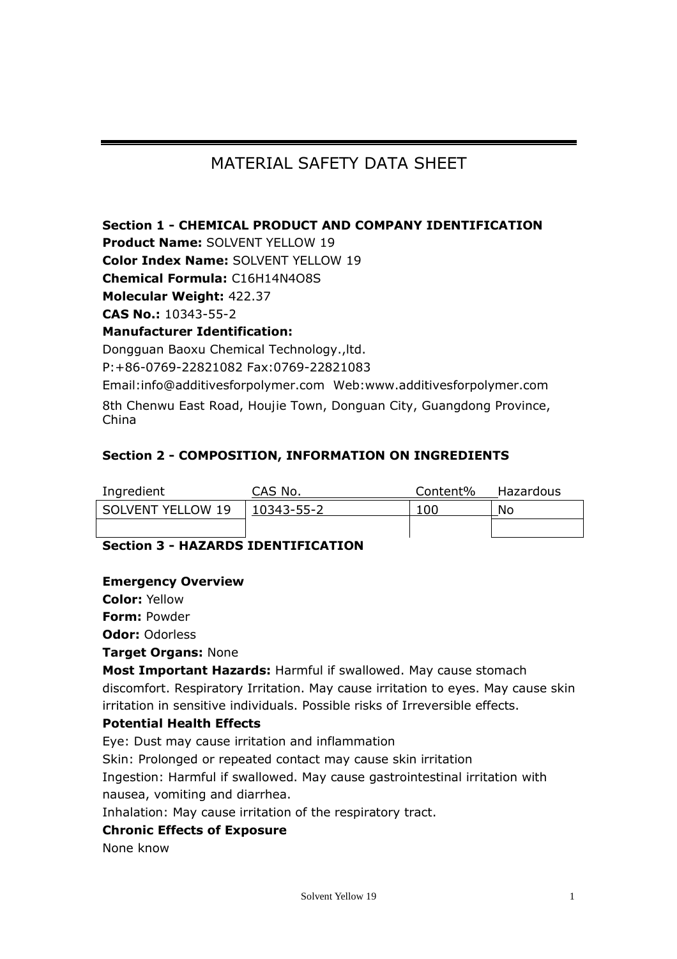# MATERIAL SAFETY DATA SHEFT

## **Section 1 - CHEMICAL PRODUCT AND COMPANY IDENTIFICATION**

**Product Name:** SOLVENT YELLOW 19

**Color Index Name:** SOLVENT YELLOW 19

**Chemical Formula:** C16H14N4O8S

**Molecular Weight:** 422.37

**CAS No.:** 10343-55-2

#### **Manufacturer Identification:**

Dongguan Baoxu Chemical Technology.,ltd. P:+86-0769-22821082 Fax:0769-22821083

Email:info@additivesforpolymer.com Web:www.additivesforpolymer.com 8th Chenwu East Road, Houjie Town, Donguan City, Guangdong Province, China

## **Section 2 - COMPOSITION, INFORMATION ON INGREDIENTS**

| Ingredient        | CAS No.            | Content% | Hazardous |
|-------------------|--------------------|----------|-----------|
| SOLVENT YELLOW 19 | $ 10343 - 55 - 2 $ | 100      | No        |
|                   |                    |          |           |

## **Section 3 - HAZARDS IDENTIFICATION**

#### **Emergency Overview**

**Color:** Yellow

**Form:** Powder

**Odor:** Odorless

#### **Target Organs:** None

**Most Important Hazards:** Harmful if swallowed. May cause stomach discomfort. Respiratory Irritation. May cause irritation to eyes. May cause skin irritation in sensitive individuals. Possible risks of Irreversible effects.

#### **Potential Health Effects**

Eye: Dust may cause irritation and inflammation

Skin: Prolonged or repeated contact may cause skin irritation

Ingestion: Harmful if swallowed. May cause gastrointestinal irritation with nausea, vomiting and diarrhea.

Inhalation: May cause irritation of the respiratory tract.

#### **Chronic Effects of Exposure**

None know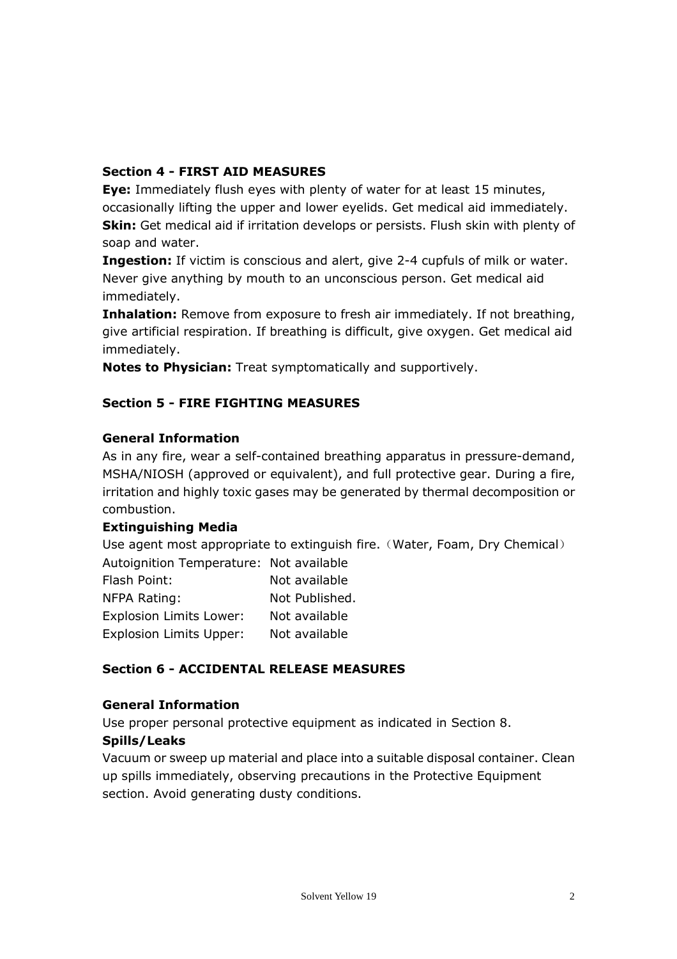#### **Section 4 - FIRST AID MEASURES**

**Eye:** Immediately flush eyes with plenty of water for at least 15 minutes, occasionally lifting the upper and lower eyelids. Get medical aid immediately. **Skin:** Get medical aid if irritation develops or persists. Flush skin with plenty of soap and water.

**Ingestion:** If victim is conscious and alert, give 2-4 cupfuls of milk or water. Never give anything by mouth to an unconscious person. Get medical aid immediately.

**Inhalation:** Remove from exposure to fresh air immediately. If not breathing, give artificial respiration. If breathing is difficult, give oxygen. Get medical aid immediately.

**Notes to Physician:** Treat symptomatically and supportively.

## **Section 5 - FIRE FIGHTING MEASURES**

#### **General Information**

As in any fire, wear a self-contained breathing apparatus in pressure-demand, MSHA/NIOSH (approved or equivalent), and full protective gear. During a fire, irritation and highly toxic gases may be generated by thermal decomposition or combustion.

#### **Extinguishing Media**

Use agent most appropriate to extinguish fire. (Water, Foam, Dry Chemical) Autoignition Temperature: Not available Flash Point: Not available

| .                              | noc avanabic   |
|--------------------------------|----------------|
| NFPA Rating:                   | Not Published. |
| <b>Explosion Limits Lower:</b> | Not available  |
| <b>Explosion Limits Upper:</b> | Not available  |
|                                |                |

#### **Section 6 - ACCIDENTAL RELEASE MEASURES**

#### **General Information**

Use proper personal protective equipment as indicated in Section 8.

#### **Spills/Leaks**

Vacuum or sweep up material and place into a suitable disposal container. Clean up spills immediately, observing precautions in the Protective Equipment section. Avoid generating dusty conditions.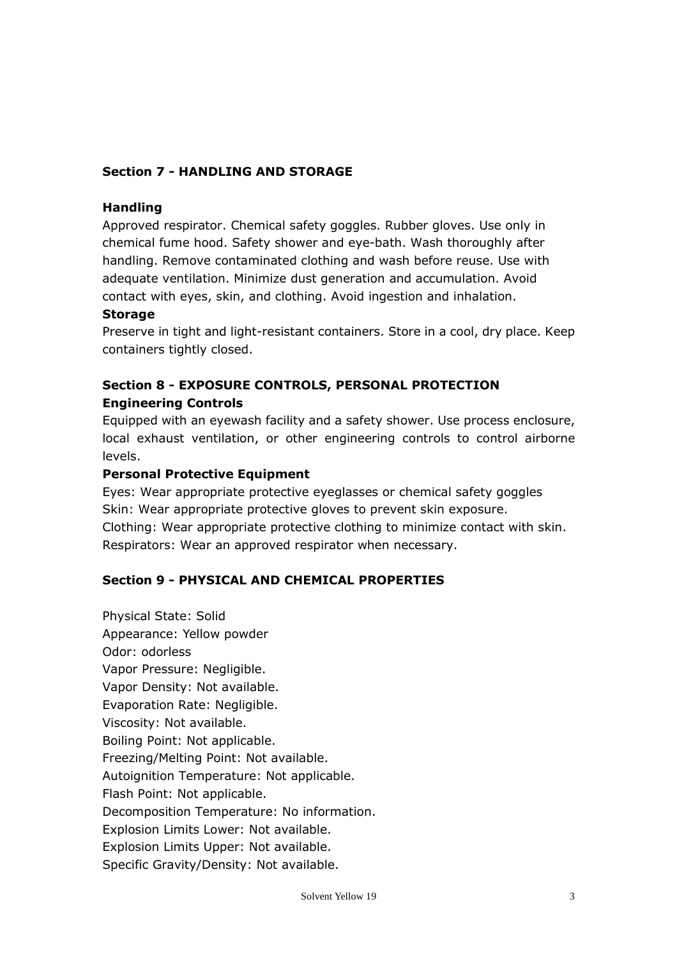## **Section 7 - HANDLING AND STORAGE**

#### **Handling**

Approved respirator. Chemical safety goggles. Rubber gloves. Use only in chemical fume hood. Safety shower and eye-bath. Wash thoroughly after handling. Remove contaminated clothing and wash before reuse. Use with adequate ventilation. Minimize dust generation and accumulation. Avoid contact with eyes, skin, and clothing. Avoid ingestion and inhalation.

#### **Storage**

Preserve in tight and light-resistant containers. Store in a cool, dry place. Keep containers tightly closed.

## **Section 8 - EXPOSURE CONTROLS, PERSONAL PROTECTION Engineering Controls**

Equipped with an eyewash facility and a safety shower. Use process enclosure, local exhaust ventilation, or other engineering controls to control airborne levels.

#### **Personal Protective Equipment**

Eyes: Wear appropriate protective eyeglasses or chemical safety goggles Skin: Wear appropriate protective gloves to prevent skin exposure. Clothing: Wear appropriate protective clothing to minimize contact with skin. Respirators: Wear an approved respirator when necessary.

#### **Section 9 - PHYSICAL AND CHEMICAL PROPERTIES**

Physical State: Solid Appearance: Yellow powder Odor: odorless Vapor Pressure: Negligible. Vapor Density: Not available. Evaporation Rate: Negligible. Viscosity: Not available. Boiling Point: Not applicable. Freezing/Melting Point: Not available. Autoignition Temperature: Not applicable. Flash Point: Not applicable. Decomposition Temperature: No information. Explosion Limits Lower: Not available. Explosion Limits Upper: Not available. Specific Gravity/Density: Not available.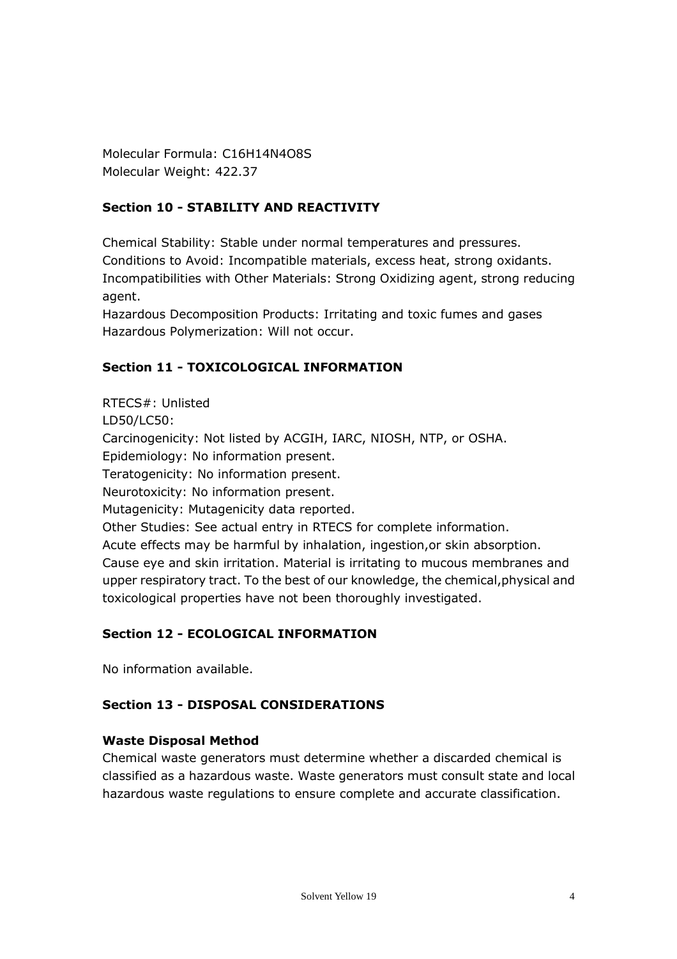Molecular Formula: C16H14N4O8S Molecular Weight: 422.37

## **Section 10 - STABILITY AND REACTIVITY**

Chemical Stability: Stable under normal temperatures and pressures. Conditions to Avoid: Incompatible materials, excess heat, strong oxidants. Incompatibilities with Other Materials: Strong Oxidizing agent, strong reducing agent.

Hazardous Decomposition Products: Irritating and toxic fumes and gases Hazardous Polymerization: Will not occur.

## **Section 11 - TOXICOLOGICAL INFORMATION**

RTECS#: Unlisted LD50/LC50: Carcinogenicity: Not listed by ACGIH, IARC, NIOSH, NTP, or OSHA. Epidemiology: No information present. Teratogenicity: No information present. Neurotoxicity: No information present. Mutagenicity: Mutagenicity data reported. Other Studies: See actual entry in RTECS for complete information. Acute effects may be harmful by inhalation, ingestion,or skin absorption. Cause eye and skin irritation. Material is irritating to mucous membranes and upper respiratory tract. To the best of our knowledge, the chemical,physical and toxicological properties have not been thoroughly investigated.

#### **Section 12 - ECOLOGICAL INFORMATION**

No information available.

#### **Section 13 - DISPOSAL CONSIDERATIONS**

#### **Waste Disposal Method**

Chemical waste generators must determine whether a discarded chemical is classified as a hazardous waste. Waste generators must consult state and local hazardous waste regulations to ensure complete and accurate classification.